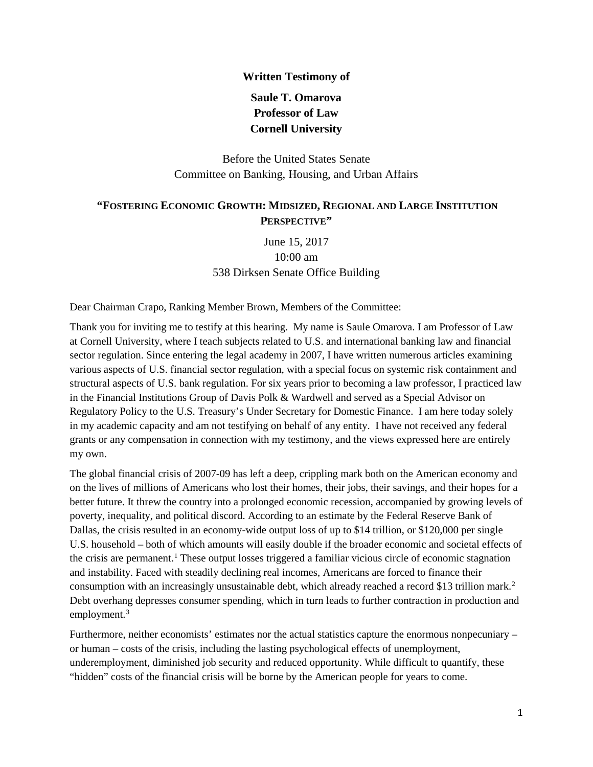#### **Written Testimony of**

# **Saule T. Omarova Professor of Law Cornell University**

Before the United States Senate Committee on Banking, Housing, and Urban Affairs

### **"FOSTERING ECONOMIC GROWTH: MIDSIZED, REGIONAL AND LARGE INSTITUTION PERSPECTIVE"**

June 15, 2017 10:00 am 538 Dirksen Senate Office Building

Dear Chairman Crapo, Ranking Member Brown, Members of the Committee:

Thank you for inviting me to testify at this hearing. My name is Saule Omarova. I am Professor of Law at Cornell University, where I teach subjects related to U.S. and international banking law and financial sector regulation. Since entering the legal academy in 2007, I have written numerous articles examining various aspects of U.S. financial sector regulation, with a special focus on systemic risk containment and structural aspects of U.S. bank regulation. For six years prior to becoming a law professor, I practiced law in the Financial Institutions Group of Davis Polk & Wardwell and served as a Special Advisor on Regulatory Policy to the U.S. Treasury's Under Secretary for Domestic Finance. I am here today solely in my academic capacity and am not testifying on behalf of any entity. I have not received any federal grants or any compensation in connection with my testimony, and the views expressed here are entirely my own.

The global financial crisis of 2007-09 has left a deep, crippling mark both on the American economy and on the lives of millions of Americans who lost their homes, their jobs, their savings, and their hopes for a better future. It threw the country into a prolonged economic recession, accompanied by growing levels of poverty, inequality, and political discord. According to an estimate by the Federal Reserve Bank of Dallas, the crisis resulted in an economy-wide output loss of up to \$14 trillion, or \$120,000 per single U.S. household – both of which amounts will easily double if the broader economic and societal effects of the crisis are permanent.<sup>[1](#page-3-0)</sup> These output losses triggered a familiar vicious circle of economic stagnation and instability. Faced with steadily declining real incomes, Americans are forced to finance their consumption with an increasingly unsustainable debt, which already reached a record \$13 trillion mark.<sup>[2](#page-3-1)</sup> Debt overhang depresses consumer spending, which in turn leads to further contraction in production and employment.<sup>[3](#page-3-2)</sup>

<span id="page-0-0"></span>Furthermore, neither economists' estimates nor the actual statistics capture the enormous nonpecuniary – or human – costs of the crisis, including the lasting psychological effects of unemployment, underemployment, diminished job security and reduced opportunity. While difficult to quantify, these "hidden" costs of the financial crisis will be borne by the American people for years to come.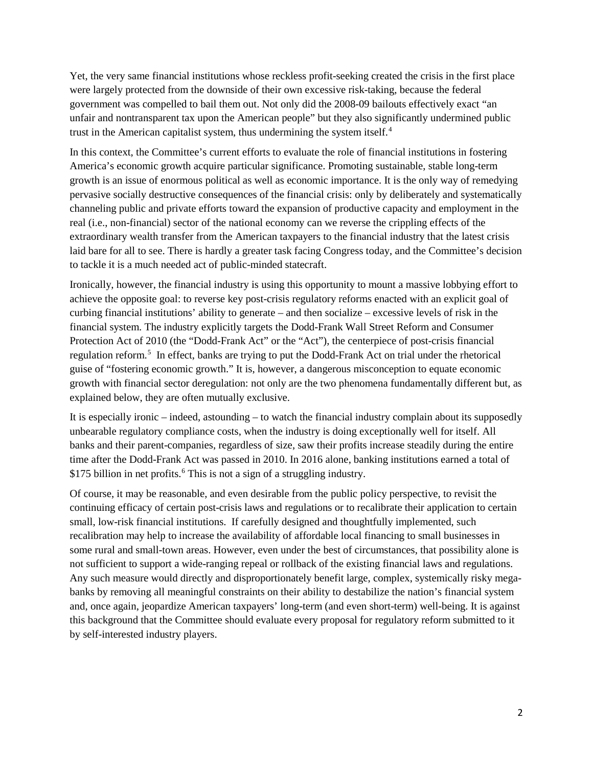Yet, the very same financial institutions whose reckless profit-seeking created the crisis in the first place were largely protected from the downside of their own excessive risk-taking, because the federal government was compelled to bail them out. Not only did the 2008-09 bailouts effectively exact "an unfair and nontransparent tax upon the American people" but they also significantly undermined public trust in the American capitalist system, thus undermining the system itself.<sup>[4](#page-3-3)</sup>

In this context, the Committee's current efforts to evaluate the role of financial institutions in fostering America's economic growth acquire particular significance. Promoting sustainable, stable long-term growth is an issue of enormous political as well as economic importance. It is the only way of remedying pervasive socially destructive consequences of the financial crisis: only by deliberately and systematically channeling public and private efforts toward the expansion of productive capacity and employment in the real (i.e., non-financial) sector of the national economy can we reverse the crippling effects of the extraordinary wealth transfer from the American taxpayers to the financial industry that the latest crisis laid bare for all to see. There is hardly a greater task facing Congress today, and the Committee's decision to tackle it is a much needed act of public-minded statecraft.

Ironically, however, the financial industry is using this opportunity to mount a massive lobbying effort to achieve the opposite goal: to reverse key post-crisis regulatory reforms enacted with an explicit goal of curbing financial institutions' ability to generate – and then socialize – excessive levels of risk in the financial system. The industry explicitly targets the Dodd-Frank Wall Street Reform and Consumer Protection Act of 2010 (the "Dodd-Frank Act" or the "Act"), the centerpiece of post-crisis financial regulation reform.[5](#page-3-4) In effect, banks are trying to put the Dodd-Frank Act on trial under the rhetorical guise of "fostering economic growth." It is, however, a dangerous misconception to equate economic growth with financial sector deregulation: not only are the two phenomena fundamentally different but, as explained below, they are often mutually exclusive.

It is especially ironic – indeed, astounding – to watch the financial industry complain about its supposedly unbearable regulatory compliance costs, when the industry is doing exceptionally well for itself. All banks and their parent-companies, regardless of size, saw their profits increase steadily during the entire time after the Dodd-Frank Act was passed in 2010. In 2016 alone, banking institutions earned a total of \$175 billion in net profits.<sup>[6](#page-3-5)</sup> This is not a sign of a struggling industry.

Of course, it may be reasonable, and even desirable from the public policy perspective, to revisit the continuing efficacy of certain post-crisis laws and regulations or to recalibrate their application to certain small, low-risk financial institutions. If carefully designed and thoughtfully implemented, such recalibration may help to increase the availability of affordable local financing to small businesses in some rural and small-town areas. However, even under the best of circumstances, that possibility alone is not sufficient to support a wide-ranging repeal or rollback of the existing financial laws and regulations. Any such measure would directly and disproportionately benefit large, complex, systemically risky megabanks by removing all meaningful constraints on their ability to destabilize the nation's financial system and, once again, jeopardize American taxpayers' long-term (and even short-term) well-being. It is against this background that the Committee should evaluate every proposal for regulatory reform submitted to it by self-interested industry players.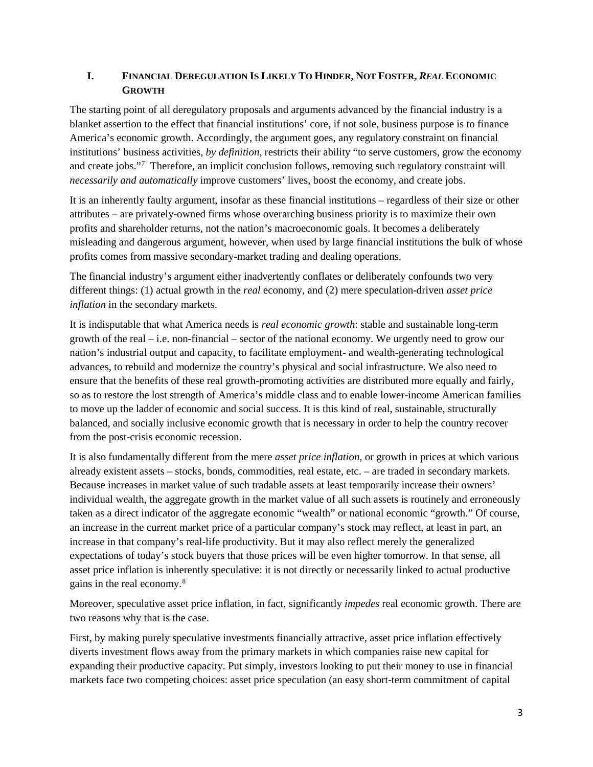### **I. FINANCIAL DEREGULATION IS LIKELY TO HINDER, NOT FOSTER,** *REAL* **ECONOMIC GROWTH**

The starting point of all deregulatory proposals and arguments advanced by the financial industry is a blanket assertion to the effect that financial institutions' core, if not sole, business purpose is to finance America's economic growth. Accordingly, the argument goes, any regulatory constraint on financial institutions' business activities, *by definition*, restricts their ability "to serve customers, grow the economy and create jobs."[7](#page-3-6) Therefore, an implicit conclusion follows, removing such regulatory constraint will *necessarily and automatically* improve customers' lives, boost the economy, and create jobs.

<span id="page-2-0"></span>It is an inherently faulty argument, insofar as these financial institutions – regardless of their size or other attributes – are privately-owned firms whose overarching business priority is to maximize their own profits and shareholder returns, not the nation's macroeconomic goals. It becomes a deliberately misleading and dangerous argument, however, when used by large financial institutions the bulk of whose profits comes from massive secondary-market trading and dealing operations.

The financial industry's argument either inadvertently conflates or deliberately confounds two very different things: (1) actual growth in the *real* economy, and (2) mere speculation-driven *asset price inflation* in the secondary markets.

It is indisputable that what America needs is *real economic growth*: stable and sustainable long-term growth of the real – i.e. non-financial – sector of the national economy. We urgently need to grow our nation's industrial output and capacity, to facilitate employment- and wealth-generating technological advances, to rebuild and modernize the country's physical and social infrastructure. We also need to ensure that the benefits of these real growth-promoting activities are distributed more equally and fairly, so as to restore the lost strength of America's middle class and to enable lower-income American families to move up the ladder of economic and social success. It is this kind of real, sustainable, structurally balanced, and socially inclusive economic growth that is necessary in order to help the country recover from the post-crisis economic recession.

It is also fundamentally different from the mere *asset price inflation,* or growth in prices at which various already existent assets – stocks, bonds, commodities, real estate, etc. – are traded in secondary markets. Because increases in market value of such tradable assets at least temporarily increase their owners' individual wealth, the aggregate growth in the market value of all such assets is routinely and erroneously taken as a direct indicator of the aggregate economic "wealth" or national economic "growth." Of course, an increase in the current market price of a particular company's stock may reflect, at least in part, an increase in that company's real-life productivity. But it may also reflect merely the generalized expectations of today's stock buyers that those prices will be even higher tomorrow. In that sense, all asset price inflation is inherently speculative: it is not directly or necessarily linked to actual productive gains in the real economy.[8](#page-3-7)

Moreover, speculative asset price inflation, in fact, significantly *impedes* real economic growth. There are two reasons why that is the case.

First, by making purely speculative investments financially attractive, asset price inflation effectively diverts investment flows away from the primary markets in which companies raise new capital for expanding their productive capacity. Put simply, investors looking to put their money to use in financial markets face two competing choices: asset price speculation (an easy short-term commitment of capital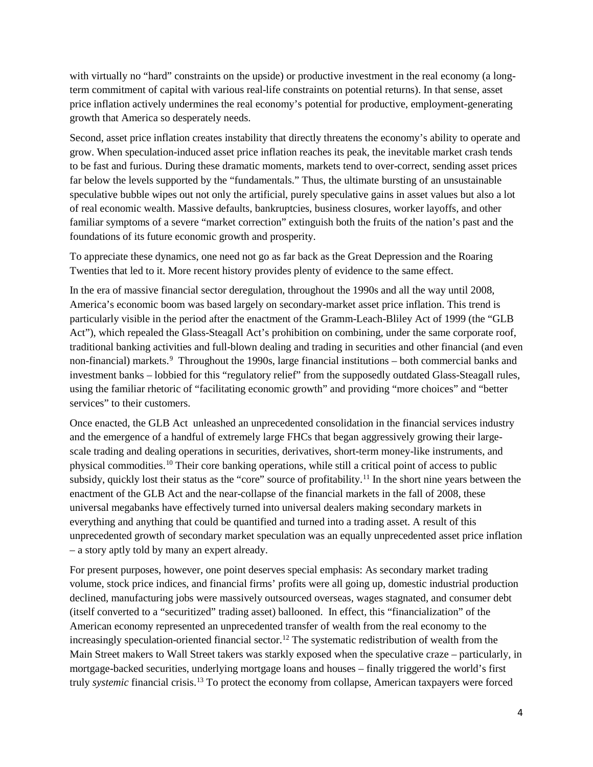<span id="page-3-0"></span>with virtually no "hard" constraints on the upside) or productive investment in the real economy (a longterm commitment of capital with various real-life constraints on potential returns). In that sense, asset price inflation actively undermines the real economy's potential for productive, employment-generating growth that America so desperately needs.

<span id="page-3-2"></span><span id="page-3-1"></span>Second, asset price inflation creates instability that directly threatens the economy's ability to operate and grow. When speculation-induced asset price inflation reaches its peak, the inevitable market crash tends to be fast and furious. During these dramatic moments, markets tend to over-correct, sending asset prices far below the levels supported by the "fundamentals." Thus, the ultimate bursting of an unsustainable speculative bubble wipes out not only the artificial, purely speculative gains in asset values but also a lot of real economic wealth. Massive defaults, bankruptcies, business closures, worker layoffs, and other familiar symptoms of a severe "market correction" extinguish both the fruits of the nation's past and the foundations of its future economic growth and prosperity.

<span id="page-3-5"></span><span id="page-3-4"></span><span id="page-3-3"></span>To appreciate these dynamics, one need not go as far back as the Great Depression and the Roaring Twenties that led to it. More recent history provides plenty of evidence to the same effect.

<span id="page-3-7"></span><span id="page-3-6"></span>In the era of massive financial sector deregulation, throughout the 1990s and all the way until 2008, America's economic boom was based largely on secondary-market asset price inflation. This trend is particularly visible in the period after the enactment of the Gramm-Leach-Bliley Act of 1999 (the "GLB Act"), which repealed the Glass-Steagall Act's prohibition on combining, under the same corporate roof, traditional banking activities and full-blown dealing and trading in securities and other financial (and even non-financial) markets.<sup>[9](#page-3-8)</sup> Throughout the 1990s, large financial institutions – both commercial banks and investment banks – lobbied for this "regulatory relief" from the supposedly outdated Glass-Steagall rules, using the familiar rhetoric of "facilitating economic growth" and providing "more choices" and "better services" to their customers.

<span id="page-3-12"></span><span id="page-3-11"></span><span id="page-3-10"></span><span id="page-3-9"></span><span id="page-3-8"></span>Once enacted, the GLB Act unleashed an unprecedented consolidation in the financial services industry and the emergence of a handful of extremely large FHCs that began aggressively growing their largescale trading and dealing operations in securities, derivatives, short-term money-like instruments, and physical commodities[.10](#page-3-9) Their core banking operations, while still a critical point of access to public subsidy, quickly lost their status as the "core" source of profitability.<sup>[11](#page-3-10)</sup> In the short nine years between the enactment of the GLB Act and the near-collapse of the financial markets in the fall of 2008, these universal megabanks have effectively turned into universal dealers making secondary markets in everything and anything that could be quantified and turned into a trading asset. A result of this unprecedented growth of secondary market speculation was an equally unprecedented asset price inflation – a story aptly told by many an expert already.

<span id="page-3-18"></span><span id="page-3-17"></span><span id="page-3-16"></span><span id="page-3-15"></span><span id="page-3-14"></span><span id="page-3-13"></span>For present purposes, however, one point deserves special emphasis: As secondary market trading volume, stock price indices, and financial firms' profits were all going up, domestic industrial production declined, manufacturing jobs were massively outsourced overseas, wages stagnated, and consumer debt (itself converted to a "securitized" trading asset) ballooned. In effect, this "financialization" of the American economy represented an unprecedented transfer of wealth from the real economy to the increasingly speculation-oriented financial sector.<sup>[12](#page-3-11)</sup> The systematic redistribution of wealth from the Main Street makers to Wall Street takers was starkly exposed when the speculative craze – particularly, in mortgage-backed securities, underlying mortgage loans and houses – finally triggered the world's first truly *systemic* financial crisis.[13](#page-3-12) To protect the economy from collapse, American taxpayers were forced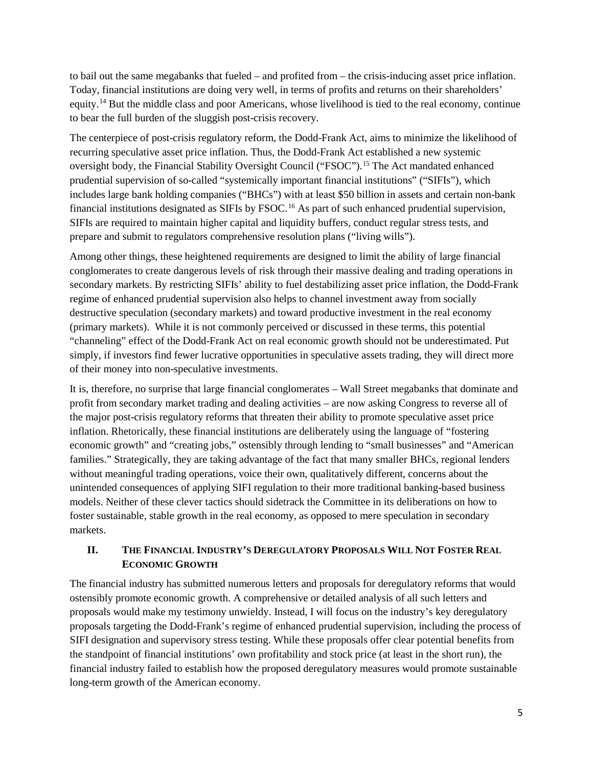<span id="page-4-0"></span>to bail out the same megabanks that fueled – and profited from – the crisis-inducing asset price inflation. Today, financial institutions are doing very well, in terms of profits and returns on their shareholders' equity.[14](#page-3-13) But the middle class and poor Americans, whose livelihood is tied to the real economy, continue to bear the full burden of the sluggish post-crisis recovery.

<span id="page-4-4"></span><span id="page-4-3"></span><span id="page-4-2"></span><span id="page-4-1"></span>The centerpiece of post-crisis regulatory reform, the Dodd-Frank Act, aims to minimize the likelihood of recurring speculative asset price inflation. Thus, the Dodd-Frank Act established a new systemic oversight body, the Financial Stability Oversight Council ("FSOC").[15](#page-3-14) The Act mandated enhanced prudential supervision of so-called "systemically important financial institutions" ("SIFIs"), which includes large bank holding companies ("BHCs") with at least \$50 billion in assets and certain non-bank financial institutions designated as SIFIs by FSOC.<sup>[16](#page-3-15)</sup> As part of such enhanced prudential supervision, SIFIs are required to maintain higher capital and liquidity buffers, conduct regular stress tests, and prepare and submit to regulators comprehensive resolution plans ("living wills").

<span id="page-4-9"></span><span id="page-4-8"></span><span id="page-4-7"></span><span id="page-4-6"></span><span id="page-4-5"></span>Among other things, these heightened requirements are designed to limit the ability of large financial conglomerates to create dangerous levels of risk through their massive dealing and trading operations in secondary markets. By restricting SIFIs' ability to fuel destabilizing asset price inflation, the Dodd-Frank regime of enhanced prudential supervision also helps to channel investment away from socially destructive speculation (secondary markets) and toward productive investment in the real economy (primary markets). While it is not commonly perceived or discussed in these terms, this potential "channeling" effect of the Dodd-Frank Act on real economic growth should not be underestimated. Put simply, if investors find fewer lucrative opportunities in speculative assets trading, they will direct more of their money into non-speculative investments.

<span id="page-4-11"></span><span id="page-4-10"></span>It is, therefore, no surprise that large financial conglomerates – Wall Street megabanks that dominate and profit from secondary market trading and dealing activities – are now asking Congress to reverse all of the major post-crisis regulatory reforms that threaten their ability to promote speculative asset price inflation. Rhetorically, these financial institutions are deliberately using the language of "fostering economic growth" and "creating jobs," ostensibly through lending to "small businesses" and "American families." Strategically, they are taking advantage of the fact that many smaller BHCs, regional lenders without meaningful trading operations, voice their own, qualitatively different, concerns about the unintended consequences of applying SIFI regulation to their more traditional banking-based business models. Neither of these clever tactics should sidetrack the Committee in its deliberations on how to foster sustainable, stable growth in the real economy, as opposed to mere speculation in secondary markets.

## **II. THE FINANCIAL INDUSTRY'S DEREGULATORY PROPOSALS WILL NOT FOSTER REAL ECONOMIC GROWTH**

The financial industry has submitted numerous letters and proposals for deregulatory reforms that would ostensibly promote economic growth. A comprehensive or detailed analysis of all such letters and proposals would make my testimony unwieldy. Instead, I will focus on the industry's key deregulatory proposals targeting the Dodd-Frank's regime of enhanced prudential supervision, including the process of SIFI designation and supervisory stress testing. While these proposals offer clear potential benefits from the standpoint of financial institutions' own profitability and stock price (at least in the short run), the financial industry failed to establish how the proposed deregulatory measures would promote sustainable long-term growth of the American economy.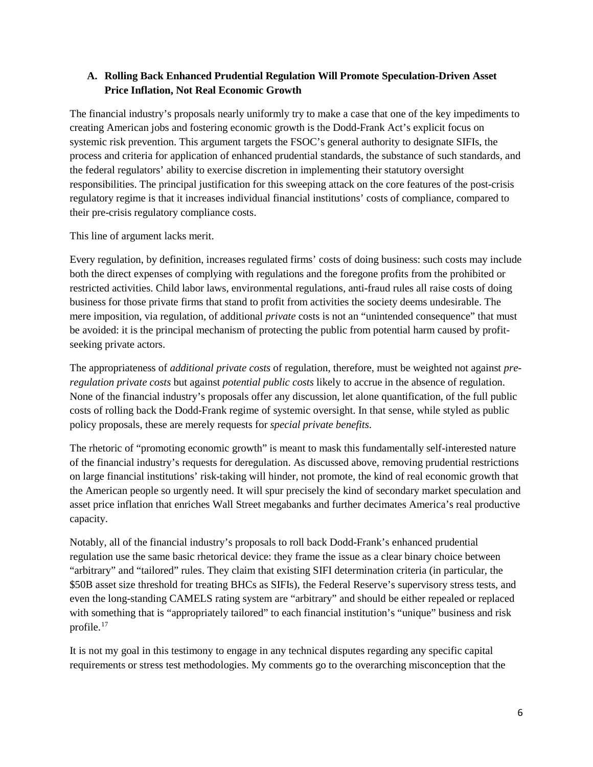### **A. Rolling Back Enhanced Prudential Regulation Will Promote Speculation-Driven Asset Price Inflation, Not Real Economic Growth**

The financial industry's proposals nearly uniformly try to make a case that one of the key impediments to creating American jobs and fostering economic growth is the Dodd-Frank Act's explicit focus on systemic risk prevention. This argument targets the FSOC's general authority to designate SIFIs, the process and criteria for application of enhanced prudential standards, the substance of such standards, and the federal regulators' ability to exercise discretion in implementing their statutory oversight responsibilities. The principal justification for this sweeping attack on the core features of the post-crisis regulatory regime is that it increases individual financial institutions' costs of compliance, compared to their pre-crisis regulatory compliance costs.

This line of argument lacks merit.

Every regulation, by definition, increases regulated firms' costs of doing business: such costs may include both the direct expenses of complying with regulations and the foregone profits from the prohibited or restricted activities. Child labor laws, environmental regulations, anti-fraud rules all raise costs of doing business for those private firms that stand to profit from activities the society deems undesirable. The mere imposition, via regulation, of additional *private* costs is not an "unintended consequence" that must be avoided: it is the principal mechanism of protecting the public from potential harm caused by profitseeking private actors.

The appropriateness of *additional private costs* of regulation, therefore, must be weighted not against *preregulation private costs* but against *potential public costs* likely to accrue in the absence of regulation. None of the financial industry's proposals offer any discussion, let alone quantification, of the full public costs of rolling back the Dodd-Frank regime of systemic oversight. In that sense, while styled as public policy proposals, these are merely requests for *special private benefits*.

The rhetoric of "promoting economic growth" is meant to mask this fundamentally self-interested nature of the financial industry's requests for deregulation. As discussed above, removing prudential restrictions on large financial institutions' risk-taking will hinder, not promote, the kind of real economic growth that the American people so urgently need. It will spur precisely the kind of secondary market speculation and asset price inflation that enriches Wall Street megabanks and further decimates America's real productive capacity.

Notably, all of the financial industry's proposals to roll back Dodd-Frank's enhanced prudential regulation use the same basic rhetorical device: they frame the issue as a clear binary choice between "arbitrary" and "tailored" rules. They claim that existing SIFI determination criteria (in particular, the \$50B asset size threshold for treating BHCs as SIFIs), the Federal Reserve's supervisory stress tests, and even the long-standing CAMELS rating system are "arbitrary" and should be either repealed or replaced with something that is "appropriately tailored" to each financial institution's "unique" business and risk profile. [17](#page-3-16)

<span id="page-5-0"></span>It is not my goal in this testimony to engage in any technical disputes regarding any specific capital requirements or stress test methodologies. My comments go to the overarching misconception that the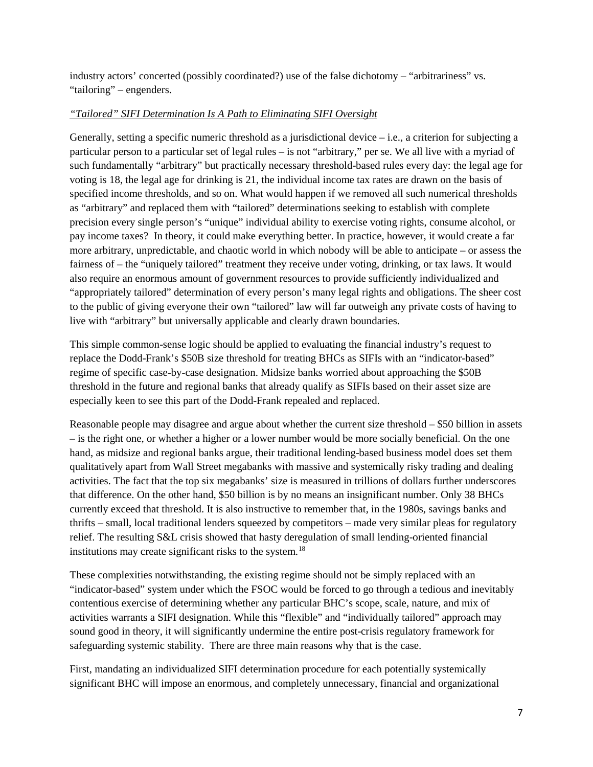industry actors' concerted (possibly coordinated?) use of the false dichotomy – "arbitrariness" vs. "tailoring" – engenders.

### *"Tailored" SIFI Determination Is A Path to Eliminating SIFI Oversight*

Generally, setting a specific numeric threshold as a jurisdictional device  $-i.e.,$  a criterion for subjecting a particular person to a particular set of legal rules – is not "arbitrary," per se. We all live with a myriad of such fundamentally "arbitrary" but practically necessary threshold-based rules every day: the legal age for voting is 18, the legal age for drinking is 21, the individual income tax rates are drawn on the basis of specified income thresholds, and so on. What would happen if we removed all such numerical thresholds as "arbitrary" and replaced them with "tailored" determinations seeking to establish with complete precision every single person's "unique" individual ability to exercise voting rights, consume alcohol, or pay income taxes? In theory, it could make everything better. In practice, however, it would create a far more arbitrary, unpredictable, and chaotic world in which nobody will be able to anticipate – or assess the fairness of – the "uniquely tailored" treatment they receive under voting, drinking, or tax laws. It would also require an enormous amount of government resources to provide sufficiently individualized and "appropriately tailored" determination of every person's many legal rights and obligations. The sheer cost to the public of giving everyone their own "tailored" law will far outweigh any private costs of having to live with "arbitrary" but universally applicable and clearly drawn boundaries.

This simple common-sense logic should be applied to evaluating the financial industry's request to replace the Dodd-Frank's \$50B size threshold for treating BHCs as SIFIs with an "indicator-based" regime of specific case-by-case designation. Midsize banks worried about approaching the \$50B threshold in the future and regional banks that already qualify as SIFIs based on their asset size are especially keen to see this part of the Dodd-Frank repealed and replaced.

Reasonable people may disagree and argue about whether the current size threshold – \$50 billion in assets – is the right one, or whether a higher or a lower number would be more socially beneficial. On the one hand, as midsize and regional banks argue, their traditional lending-based business model does set them qualitatively apart from Wall Street megabanks with massive and systemically risky trading and dealing activities. The fact that the top six megabanks' size is measured in trillions of dollars further underscores that difference. On the other hand, \$50 billion is by no means an insignificant number. Only 38 BHCs currently exceed that threshold. It is also instructive to remember that, in the 1980s, savings banks and thrifts – small, local traditional lenders squeezed by competitors – made very similar pleas for regulatory relief. The resulting S&L crisis showed that hasty deregulation of small lending-oriented financial institutions may create significant risks to the system.<sup>[18](#page-3-17)</sup>

These complexities notwithstanding, the existing regime should not be simply replaced with an "indicator-based" system under which the FSOC would be forced to go through a tedious and inevitably contentious exercise of determining whether any particular BHC's scope, scale, nature, and mix of activities warrants a SIFI designation. While this "flexible" and "individually tailored" approach may sound good in theory, it will significantly undermine the entire post-crisis regulatory framework for safeguarding systemic stability. There are three main reasons why that is the case.

First, mandating an individualized SIFI determination procedure for each potentially systemically significant BHC will impose an enormous, and completely unnecessary, financial and organizational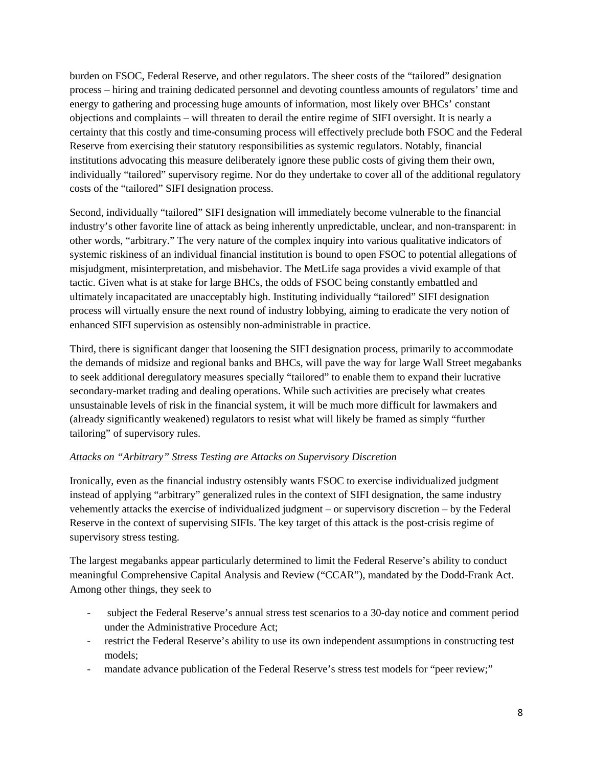burden on FSOC, Federal Reserve, and other regulators. The sheer costs of the "tailored" designation process – hiring and training dedicated personnel and devoting countless amounts of regulators' time and energy to gathering and processing huge amounts of information, most likely over BHCs' constant objections and complaints – will threaten to derail the entire regime of SIFI oversight. It is nearly a certainty that this costly and time-consuming process will effectively preclude both FSOC and the Federal Reserve from exercising their statutory responsibilities as systemic regulators. Notably, financial institutions advocating this measure deliberately ignore these public costs of giving them their own, individually "tailored" supervisory regime. Nor do they undertake to cover all of the additional regulatory costs of the "tailored" SIFI designation process.

Second, individually "tailored" SIFI designation will immediately become vulnerable to the financial industry's other favorite line of attack as being inherently unpredictable, unclear, and non-transparent: in other words, "arbitrary." The very nature of the complex inquiry into various qualitative indicators of systemic riskiness of an individual financial institution is bound to open FSOC to potential allegations of misjudgment, misinterpretation, and misbehavior. The MetLife saga provides a vivid example of that tactic. Given what is at stake for large BHCs, the odds of FSOC being constantly embattled and ultimately incapacitated are unacceptably high. Instituting individually "tailored" SIFI designation process will virtually ensure the next round of industry lobbying, aiming to eradicate the very notion of enhanced SIFI supervision as ostensibly non-administrable in practice.

Third, there is significant danger that loosening the SIFI designation process, primarily to accommodate the demands of midsize and regional banks and BHCs, will pave the way for large Wall Street megabanks to seek additional deregulatory measures specially "tailored" to enable them to expand their lucrative secondary-market trading and dealing operations. While such activities are precisely what creates unsustainable levels of risk in the financial system, it will be much more difficult for lawmakers and (already significantly weakened) regulators to resist what will likely be framed as simply "further tailoring" of supervisory rules.

#### *Attacks on "Arbitrary" Stress Testing are Attacks on Supervisory Discretion*

Ironically, even as the financial industry ostensibly wants FSOC to exercise individualized judgment instead of applying "arbitrary" generalized rules in the context of SIFI designation, the same industry vehemently attacks the exercise of individualized judgment – or supervisory discretion – by the Federal Reserve in the context of supervising SIFIs. The key target of this attack is the post-crisis regime of supervisory stress testing.

The largest megabanks appear particularly determined to limit the Federal Reserve's ability to conduct meaningful Comprehensive Capital Analysis and Review ("CCAR"), mandated by the Dodd-Frank Act. Among other things, they seek to

- subject the Federal Reserve's annual stress test scenarios to a 30-day notice and comment period under the Administrative Procedure Act;
- restrict the Federal Reserve's ability to use its own independent assumptions in constructing test models;
- mandate advance publication of the Federal Reserve's stress test models for "peer review;"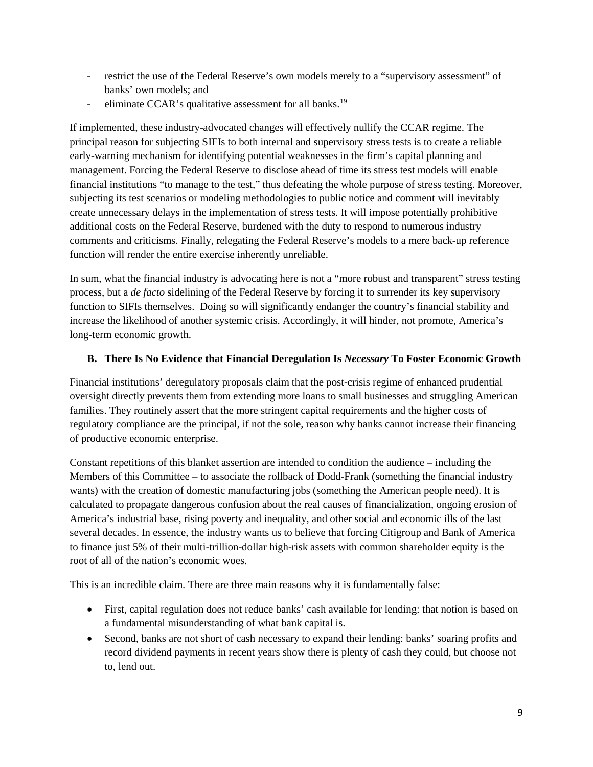- restrict the use of the Federal Reserve's own models merely to a "supervisory assessment" of banks' own models; and
- eliminate CCAR's qualitative assessment for all banks.<sup>[19](#page-3-18)</sup>

If implemented, these industry-advocated changes will effectively nullify the CCAR regime. The principal reason for subjecting SIFIs to both internal and supervisory stress tests is to create a reliable early-warning mechanism for identifying potential weaknesses in the firm's capital planning and management. Forcing the Federal Reserve to disclose ahead of time its stress test models will enable financial institutions "to manage to the test," thus defeating the whole purpose of stress testing. Moreover, subjecting its test scenarios or modeling methodologies to public notice and comment will inevitably create unnecessary delays in the implementation of stress tests. It will impose potentially prohibitive additional costs on the Federal Reserve, burdened with the duty to respond to numerous industry comments and criticisms. Finally, relegating the Federal Reserve's models to a mere back-up reference function will render the entire exercise inherently unreliable.

In sum, what the financial industry is advocating here is not a "more robust and transparent" stress testing process, but a *de facto* sidelining of the Federal Reserve by forcing it to surrender its key supervisory function to SIFIs themselves. Doing so will significantly endanger the country's financial stability and increase the likelihood of another systemic crisis. Accordingly, it will hinder, not promote, America's long-term economic growth.

### **B. There Is No Evidence that Financial Deregulation Is** *Necessary* **To Foster Economic Growth**

Financial institutions' deregulatory proposals claim that the post-crisis regime of enhanced prudential oversight directly prevents them from extending more loans to small businesses and struggling American families. They routinely assert that the more stringent capital requirements and the higher costs of regulatory compliance are the principal, if not the sole, reason why banks cannot increase their financing of productive economic enterprise.

Constant repetitions of this blanket assertion are intended to condition the audience – including the Members of this Committee – to associate the rollback of Dodd-Frank (something the financial industry wants) with the creation of domestic manufacturing jobs (something the American people need). It is calculated to propagate dangerous confusion about the real causes of financialization, ongoing erosion of America's industrial base, rising poverty and inequality, and other social and economic ills of the last several decades. In essence, the industry wants us to believe that forcing Citigroup and Bank of America to finance just 5% of their multi-trillion-dollar high-risk assets with common shareholder equity is the root of all of the nation's economic woes.

This is an incredible claim. There are three main reasons why it is fundamentally false:

- First, capital regulation does not reduce banks' cash available for lending: that notion is based on a fundamental misunderstanding of what bank capital is.
- Second, banks are not short of cash necessary to expand their lending: banks' soaring profits and record dividend payments in recent years show there is plenty of cash they could, but choose not to, lend out.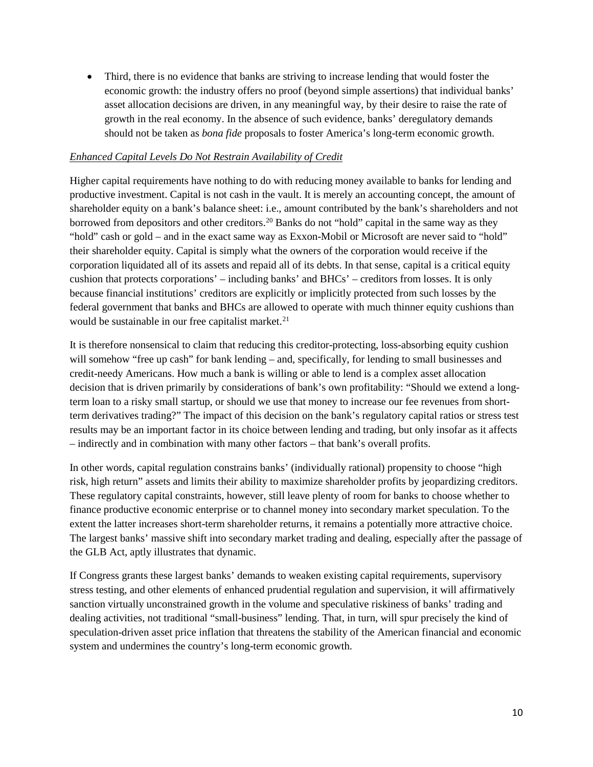• Third, there is no evidence that banks are striving to increase lending that would foster the economic growth: the industry offers no proof (beyond simple assertions) that individual banks' asset allocation decisions are driven, in any meaningful way, by their desire to raise the rate of growth in the real economy. In the absence of such evidence, banks' deregulatory demands should not be taken as *bona fide* proposals to foster America's long-term economic growth.

#### *Enhanced Capital Levels Do Not Restrain Availability of Credit*

Higher capital requirements have nothing to do with reducing money available to banks for lending and productive investment. Capital is not cash in the vault. It is merely an accounting concept, the amount of shareholder equity on a bank's balance sheet: i.e., amount contributed by the bank's shareholders and not borrowed from depositors and other creditors.<sup>[20](#page-4-0)</sup> Banks do not "hold" capital in the same way as they "hold" cash or gold – and in the exact same way as Exxon-Mobil or Microsoft are never said to "hold" their shareholder equity. Capital is simply what the owners of the corporation would receive if the corporation liquidated all of its assets and repaid all of its debts. In that sense, capital is a critical equity cushion that protects corporations' – including banks' and BHCs' – creditors from losses. It is only because financial institutions' creditors are explicitly or implicitly protected from such losses by the federal government that banks and BHCs are allowed to operate with much thinner equity cushions than would be sustainable in our free capitalist market.<sup>[21](#page-4-1)</sup>

It is therefore nonsensical to claim that reducing this creditor-protecting, loss-absorbing equity cushion will somehow "free up cash" for bank lending – and, specifically, for lending to small businesses and credit-needy Americans. How much a bank is willing or able to lend is a complex asset allocation decision that is driven primarily by considerations of bank's own profitability: "Should we extend a longterm loan to a risky small startup, or should we use that money to increase our fee revenues from shortterm derivatives trading?" The impact of this decision on the bank's regulatory capital ratios or stress test results may be an important factor in its choice between lending and trading, but only insofar as it affects – indirectly and in combination with many other factors – that bank's overall profits.

In other words, capital regulation constrains banks' (individually rational) propensity to choose "high risk, high return" assets and limits their ability to maximize shareholder profits by jeopardizing creditors. These regulatory capital constraints, however, still leave plenty of room for banks to choose whether to finance productive economic enterprise or to channel money into secondary market speculation. To the extent the latter increases short-term shareholder returns, it remains a potentially more attractive choice. The largest banks' massive shift into secondary market trading and dealing, especially after the passage of the GLB Act, aptly illustrates that dynamic.

If Congress grants these largest banks' demands to weaken existing capital requirements, supervisory stress testing, and other elements of enhanced prudential regulation and supervision, it will affirmatively sanction virtually unconstrained growth in the volume and speculative riskiness of banks' trading and dealing activities, not traditional "small-business" lending. That, in turn, will spur precisely the kind of speculation-driven asset price inflation that threatens the stability of the American financial and economic system and undermines the country's long-term economic growth.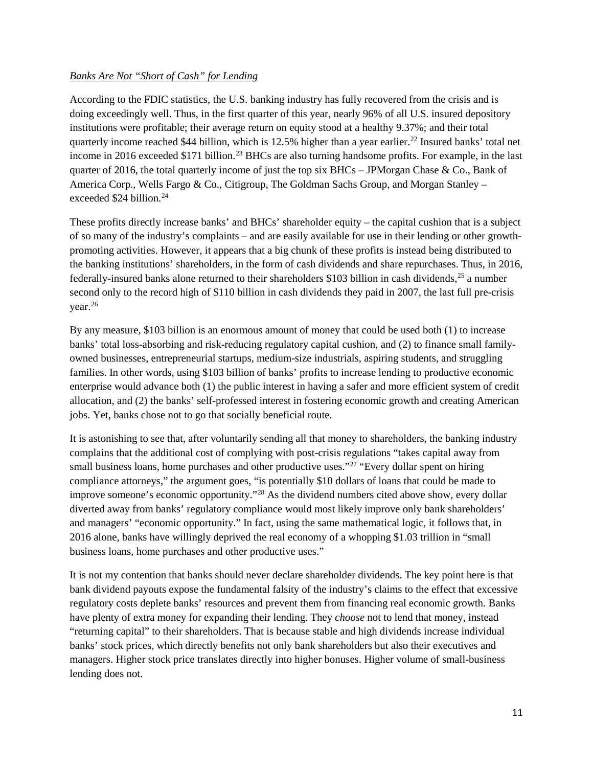#### *Banks Are Not "Short of Cash" for Lending*

According to the FDIC statistics, the U.S. banking industry has fully recovered from the crisis and is doing exceedingly well. Thus, in the first quarter of this year, nearly 96% of all U.S. insured depository institutions were profitable; their average return on equity stood at a healthy 9.37%; and their total quarterly income reached \$44 billion, which is 12.5% higher than a year earlier.[22](#page-4-2) Insured banks' total net income in 2016 exceeded \$171 billion. [23](#page-4-3) BHCs are also turning handsome profits. For example, in the last quarter of 2016, the total quarterly income of just the top six BHCs – JPMorgan Chase & Co., Bank of America Corp., Wells Fargo & Co., Citigroup, The Goldman Sachs Group, and Morgan Stanley – exceeded \$24 billion. [24](#page-4-4)

These profits directly increase banks' and BHCs' shareholder equity – the capital cushion that is a subject of so many of the industry's complaints – and are easily available for use in their lending or other growthpromoting activities. However, it appears that a big chunk of these profits is instead being distributed to the banking institutions' shareholders, in the form of cash dividends and share repurchases. Thus, in 2016, federally-insured banks alone returned to their shareholders \$103 billion in cash dividends,[25](#page-4-5) a number second only to the record high of \$110 billion in cash dividends they paid in 2007, the last full pre-crisis year. [26](#page-4-6)

By any measure, \$103 billion is an enormous amount of money that could be used both (1) to increase banks' total loss-absorbing and risk-reducing regulatory capital cushion, and (2) to finance small familyowned businesses, entrepreneurial startups, medium-size industrials, aspiring students, and struggling families. In other words, using \$103 billion of banks' profits to increase lending to productive economic enterprise would advance both (1) the public interest in having a safer and more efficient system of credit allocation, and (2) the banks' self-professed interest in fostering economic growth and creating American jobs. Yet, banks chose not to go that socially beneficial route.

It is astonishing to see that, after voluntarily sending all that money to shareholders, the banking industry complains that the additional cost of complying with post-crisis regulations "takes capital away from small business loans, home purchases and other productive uses."<sup>[27](#page-4-7)</sup> "Every dollar spent on hiring compliance attorneys," the argument goes, "is potentially \$10 dollars of loans that could be made to improve someone's economic opportunity."[28](#page-4-8) As the dividend numbers cited above show, every dollar diverted away from banks' regulatory compliance would most likely improve only bank shareholders' and managers' "economic opportunity." In fact, using the same mathematical logic, it follows that, in 2016 alone, banks have willingly deprived the real economy of a whopping \$1.03 trillion in "small business loans, home purchases and other productive uses."

It is not my contention that banks should never declare shareholder dividends. The key point here is that bank dividend payouts expose the fundamental falsity of the industry's claims to the effect that excessive regulatory costs deplete banks' resources and prevent them from financing real economic growth. Banks have plenty of extra money for expanding their lending. They *choose* not to lend that money, instead "returning capital" to their shareholders. That is because stable and high dividends increase individual banks' stock prices, which directly benefits not only bank shareholders but also their executives and managers. Higher stock price translates directly into higher bonuses. Higher volume of small-business lending does not.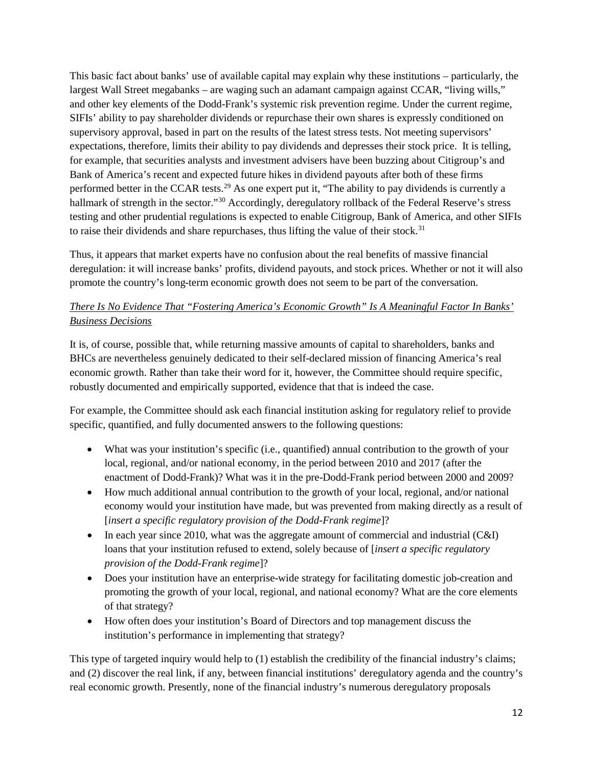This basic fact about banks' use of available capital may explain why these institutions – particularly, the largest Wall Street megabanks – are waging such an adamant campaign against CCAR, "living wills," and other key elements of the Dodd-Frank's systemic risk prevention regime. Under the current regime, SIFIs' ability to pay shareholder dividends or repurchase their own shares is expressly conditioned on supervisory approval, based in part on the results of the latest stress tests. Not meeting supervisors' expectations, therefore, limits their ability to pay dividends and depresses their stock price. It is telling, for example, that securities analysts and investment advisers have been buzzing about Citigroup's and Bank of America's recent and expected future hikes in dividend payouts after both of these firms performed better in the CCAR tests.[29](#page-4-9) As one expert put it, "The ability to pay dividends is currently a hallmark of strength in the sector."<sup>[30](#page-4-10)</sup> Accordingly, deregulatory rollback of the Federal Reserve's stress testing and other prudential regulations is expected to enable Citigroup, Bank of America, and other SIFIs to raise their dividends and share repurchases, thus lifting the value of their stock.<sup>[31](#page-4-11)</sup>

<span id="page-11-0"></span>Thus, it appears that market experts have no confusion about the real benefits of massive financial deregulation: it will increase banks' profits, dividend payouts, and stock prices. Whether or not it will also promote the country's long-term economic growth does not seem to be part of the conversation.

## *There Is No Evidence That "Fostering America's Economic Growth" Is A Meaningful Factor In Banks' Business Decisions*

It is, of course, possible that, while returning massive amounts of capital to shareholders, banks and BHCs are nevertheless genuinely dedicated to their self-declared mission of financing America's real economic growth. Rather than take their word for it, however, the Committee should require specific, robustly documented and empirically supported, evidence that that is indeed the case.

For example, the Committee should ask each financial institution asking for regulatory relief to provide specific, quantified, and fully documented answers to the following questions:

- What was your institution's specific (i.e., quantified) annual contribution to the growth of your local, regional, and/or national economy, in the period between 2010 and 2017 (after the enactment of Dodd-Frank)? What was it in the pre-Dodd-Frank period between 2000 and 2009?
- How much additional annual contribution to the growth of your local, regional, and/or national economy would your institution have made, but was prevented from making directly as a result of [*insert a specific regulatory provision of the Dodd-Frank regime*]?
- In each year since 2010, what was the aggregate amount of commercial and industrial (C&I) loans that your institution refused to extend, solely because of [*insert a specific regulatory provision of the Dodd-Frank regime*]?
- Does your institution have an enterprise-wide strategy for facilitating domestic job-creation and promoting the growth of your local, regional, and national economy? What are the core elements of that strategy?
- How often does your institution's Board of Directors and top management discuss the institution's performance in implementing that strategy?

This type of targeted inquiry would help to (1) establish the credibility of the financial industry's claims; and (2) discover the real link, if any, between financial institutions' deregulatory agenda and the country's real economic growth. Presently, none of the financial industry's numerous deregulatory proposals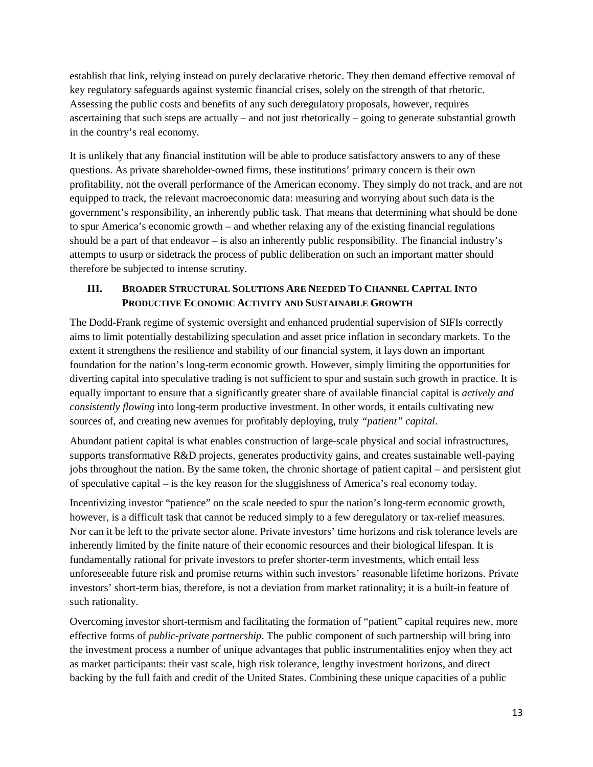establish that link, relying instead on purely declarative rhetoric. They then demand effective removal of key regulatory safeguards against systemic financial crises, solely on the strength of that rhetoric. Assessing the public costs and benefits of any such deregulatory proposals, however, requires ascertaining that such steps are actually – and not just rhetorically – going to generate substantial growth in the country's real economy.

It is unlikely that any financial institution will be able to produce satisfactory answers to any of these questions. As private shareholder-owned firms, these institutions' primary concern is their own profitability, not the overall performance of the American economy. They simply do not track, and are not equipped to track, the relevant macroeconomic data: measuring and worrying about such data is the government's responsibility, an inherently public task. That means that determining what should be done to spur America's economic growth – and whether relaxing any of the existing financial regulations should be a part of that endeavor – is also an inherently public responsibility. The financial industry's attempts to usurp or sidetrack the process of public deliberation on such an important matter should therefore be subjected to intense scrutiny.

## **III. BROADER STRUCTURAL SOLUTIONS ARE NEEDED TO CHANNEL CAPITAL INTO PRODUCTIVE ECONOMIC ACTIVITY AND SUSTAINABLE GROWTH**

The Dodd-Frank regime of systemic oversight and enhanced prudential supervision of SIFIs correctly aims to limit potentially destabilizing speculation and asset price inflation in secondary markets. To the extent it strengthens the resilience and stability of our financial system, it lays down an important foundation for the nation's long-term economic growth. However, simply limiting the opportunities for diverting capital into speculative trading is not sufficient to spur and sustain such growth in practice. It is equally important to ensure that a significantly greater share of available financial capital is *actively and consistently flowing* into long-term productive investment. In other words, it entails cultivating new sources of, and creating new avenues for profitably deploying, truly *"patient" capital*.

Abundant patient capital is what enables construction of large-scale physical and social infrastructures, supports transformative R&D projects, generates productivity gains, and creates sustainable well-paying jobs throughout the nation. By the same token, the chronic shortage of patient capital – and persistent glut of speculative capital – is the key reason for the sluggishness of America's real economy today.

Incentivizing investor "patience" on the scale needed to spur the nation's long-term economic growth, however, is a difficult task that cannot be reduced simply to a few deregulatory or tax-relief measures. Nor can it be left to the private sector alone. Private investors' time horizons and risk tolerance levels are inherently limited by the finite nature of their economic resources and their biological lifespan. It is fundamentally rational for private investors to prefer shorter-term investments, which entail less unforeseeable future risk and promise returns within such investors' reasonable lifetime horizons. Private investors' short-term bias, therefore, is not a deviation from market rationality; it is a built-in feature of such rationality.

Overcoming investor short-termism and facilitating the formation of "patient" capital requires new, more effective forms of *public-private partnership*. The public component of such partnership will bring into the investment process a number of unique advantages that public instrumentalities enjoy when they act as market participants: their vast scale, high risk tolerance, lengthy investment horizons, and direct backing by the full faith and credit of the United States. Combining these unique capacities of a public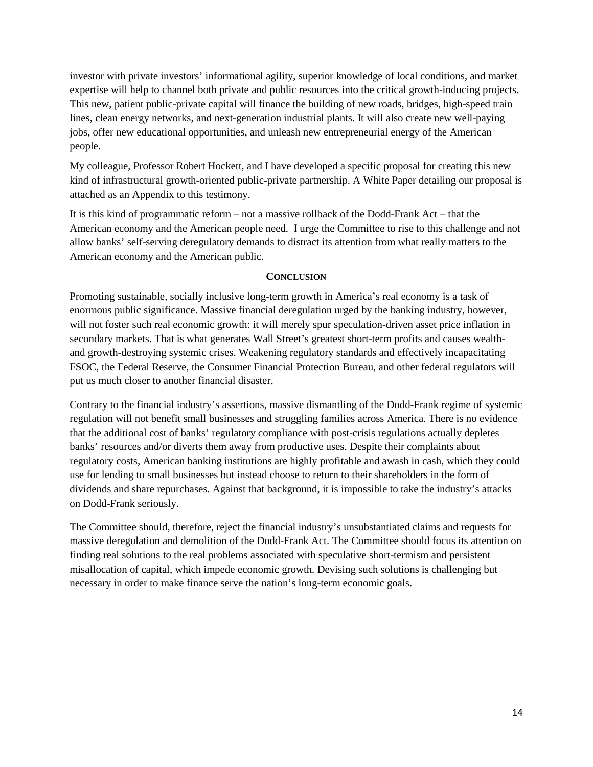investor with private investors' informational agility, superior knowledge of local conditions, and market expertise will help to channel both private and public resources into the critical growth-inducing projects. This new, patient public-private capital will finance the building of new roads, bridges, high-speed train lines, clean energy networks, and next-generation industrial plants. It will also create new well-paying jobs, offer new educational opportunities, and unleash new entrepreneurial energy of the American people.

My colleague, Professor Robert Hockett, and I have developed a specific proposal for creating this new kind of infrastructural growth-oriented public-private partnership. A White Paper detailing our proposal is attached as an Appendix to this testimony.

It is this kind of programmatic reform – not a massive rollback of the Dodd-Frank Act – that the American economy and the American people need. I urge the Committee to rise to this challenge and not allow banks' self-serving deregulatory demands to distract its attention from what really matters to the American economy and the American public.

#### **CONCLUSION**

Promoting sustainable, socially inclusive long-term growth in America's real economy is a task of enormous public significance. Massive financial deregulation urged by the banking industry, however, will not foster such real economic growth: it will merely spur speculation-driven asset price inflation in secondary markets. That is what generates Wall Street's greatest short-term profits and causes wealthand growth-destroying systemic crises. Weakening regulatory standards and effectively incapacitating FSOC, the Federal Reserve, the Consumer Financial Protection Bureau, and other federal regulators will put us much closer to another financial disaster.

Contrary to the financial industry's assertions, massive dismantling of the Dodd-Frank regime of systemic regulation will not benefit small businesses and struggling families across America. There is no evidence that the additional cost of banks' regulatory compliance with post-crisis regulations actually depletes banks' resources and/or diverts them away from productive uses. Despite their complaints about regulatory costs, American banking institutions are highly profitable and awash in cash, which they could use for lending to small businesses but instead choose to return to their shareholders in the form of dividends and share repurchases. Against that background, it is impossible to take the industry's attacks on Dodd-Frank seriously.

The Committee should, therefore, reject the financial industry's unsubstantiated claims and requests for massive deregulation and demolition of the Dodd-Frank Act. The Committee should focus its attention on finding real solutions to the real problems associated with speculative short-termism and persistent misallocation of capital, which impede economic growth. Devising such solutions is challenging but necessary in order to make finance serve the nation's long-term economic goals.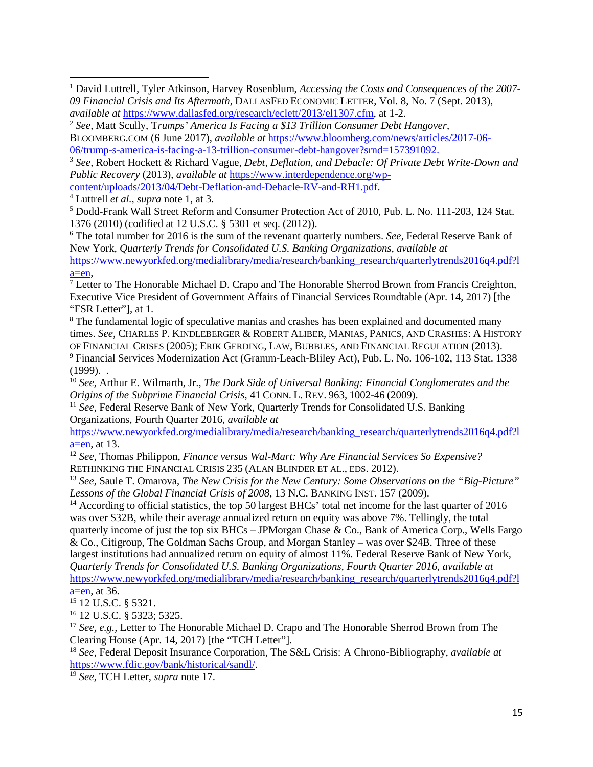$\overline{\phantom{a}}$ 

<sup>6</sup> The total number for 2016 is the sum of the revenant quarterly numbers. *See,* Federal Reserve Bank of New York*, Quarterly Trends for Consolidated U.S. Banking Organizations, available at* [https://www.newyorkfed.org/medialibrary/media/research/banking\\_research/quarterlytrends2016q4.pdf?l](https://www.newyorkfed.org/medialibrary/media/research/banking_research/quarterlytrends2016q4.pdf?la=en) [a=en,](https://www.newyorkfed.org/medialibrary/media/research/banking_research/quarterlytrends2016q4.pdf?la=en)

 $<sup>7</sup>$  Letter to The Honorable Michael D. Crapo and The Honorable Sherrod Brown from Francis Creighton,</sup> Executive Vice President of Government Affairs of Financial Services Roundtable (Apr. 14, 2017) [the "FSR Letter"], at 1.

<sup>8</sup> The fundamental logic of speculative manias and crashes has been explained and documented many times. *See,* CHARLES P. KINDLEBERGER & ROBERT ALIBER, MANIAS, PANICS, AND CRASHES: A HISTORY OF FINANCIAL CRISES (2005); ERIK GERDING, LAW, BUBBLES, AND FINANCIAL REGULATION (2013). <sup>9</sup> Financial Services Modernization Act (Gramm-Leach-Bliley Act), Pub. L. No. 106-102, 113 Stat. 1338  $(1999)$ .

<sup>10</sup> *See,* Arthur E. Wilmarth, Jr., *The Dark Side of Universal Banking: Financial Conglomerates and the Origins of the Subprime Financial Crisis*, 41 CONN. L. REV. 963, 1002-46 (2009).

<sup>11</sup> *See,* Federal Reserve Bank of New York*,* Quarterly Trends for Consolidated U.S. Banking Organizations, Fourth Quarter 2016, *available at*

[https://www.newyorkfed.org/medialibrary/media/research/banking\\_research/quarterlytrends2016q4.pdf?l](https://www.newyorkfed.org/medialibrary/media/research/banking_research/quarterlytrends2016q4.pdf?la=en)  $a=en$ , at 13.

<sup>12</sup> *See,* Thomas Philippon, *Finance versus Wal-Mart: Why Are Financial Services So Expensive?* RETHINKING THE FINANCIAL CRISIS 235 (ALAN BLINDER ET AL., EDS. 2012).

<sup>13</sup> *See,* Saule T. Omarova, *The New Crisis for the New Century: Some Observations on the "Big-Picture" Lessons of the Global Financial Crisis of 2008*, 13 N.C. BANKING INST. 157 (2009).

<sup>14</sup> According to official statistics, the top 50 largest BHCs' total net income for the last quarter of 2016 was over \$32B, while their average annualized return on equity was above 7%. Tellingly, the total quarterly income of just the top six  $BHCs - JPMorgan Chase & Co., Bank of America Corp., Wells Fargo$ & Co., Citigroup, The Goldman Sachs Group, and Morgan Stanley – was over \$24B. Three of these largest institutions had annualized return on equity of almost 11%. Federal Reserve Bank of New York*, Quarterly Trends for Consolidated U.S. Banking Organizations, Fourth Quarter 2016*, *available at* [https://www.newyorkfed.org/medialibrary/media/research/banking\\_research/quarterlytrends2016q4.pdf?l](https://www.newyorkfed.org/medialibrary/media/research/banking_research/quarterlytrends2016q4.pdf?la=en)

<sup>17</sup> *See, e.g.,* Letter to The Honorable Michael D. Crapo and The Honorable Sherrod Brown from The Clearing House (Apr. 14, 2017) [the "TCH Letter"].

<sup>18</sup> *See,* Federal Deposit Insurance Corporation, The S&L Crisis: A Chrono-Bibliography, *available at* [https://www.fdic.gov/bank/historical/sandl/.](https://www.fdic.gov/bank/historical/sandl/) 19 *See*, TCH Letter, *supra* note [17.](#page-5-0)

<sup>1</sup> David Luttrell, Tyler Atkinson, Harvey Rosenblum, *Accessing the Costs and Consequences of the 2007- 09 Financial Crisis and Its Aftermath*, DALLASFED ECONOMIC LETTER, Vol. 8, No. 7 (Sept. 2013), *available at* [https://www.dallasfed.org/research/eclett/2013/el1307.cfm,](https://www.dallasfed.org/research/eclett/2013/el1307.cfm) at 1-2.

<sup>2</sup> *See,* Matt Scully, T*rumps' America Is Facing a \$13 Trillion Consumer Debt Hangover*,

BLOOMBERG.COM (6 June 2017), *available at* [https://www.bloomberg.com/news/articles/2017-06-](https://www.bloomberg.com/news/articles/2017-06-06/trump-s-america-is-facing-a-13-trillion-consumer-debt-hangover?srnd=157391092) [06/trump-s-america-is-facing-a-13-trillion-consumer-debt-hangover?srnd=157391092.](https://www.bloomberg.com/news/articles/2017-06-06/trump-s-america-is-facing-a-13-trillion-consumer-debt-hangover?srnd=157391092)

<sup>3</sup> *See,* Robert Hockett & Richard Vague*, Debt, Deflation, and Debacle: Of Private Debt Write-Down and Public Recovery* (2013), *available at* [https://www.interdependence.org/wp](https://www.interdependence.org/wp-content/uploads/2013/04/Debt-Deflation-and-Debacle-RV-and-RH1.pdf)[content/uploads/2013/04/Debt-Deflation-and-Debacle-RV-and-RH1.pdf.](https://www.interdependence.org/wp-content/uploads/2013/04/Debt-Deflation-and-Debacle-RV-and-RH1.pdf) 4 Luttrell *et al., supra* note [1,](#page-0-0) at 3.

<sup>5</sup> Dodd-Frank Wall Street Reform and Consumer Protection Act of 2010, Pub. L. No. 111-203, 124 Stat. 1376 (2010) (codified at 12 U.S.C. § 5301 et seq. (2012)).

 $a=en$ , at 36.

<sup>15</sup> 12 U.S.C. § 5321.

<sup>16</sup> 12 U.S.C. § 5323; 5325.